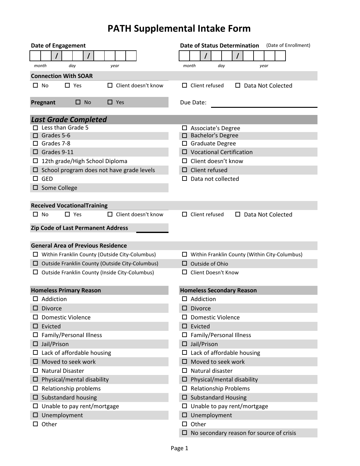## **PATH Supplemental Intake Form**

| <b>Date of Engagement</b>                                | <b>Date of Status Determination</b><br>(Date of Enrollment) |
|----------------------------------------------------------|-------------------------------------------------------------|
|                                                          |                                                             |
| day<br>month<br>year                                     | month<br>day<br>year                                        |
| <b>Connection With SOAR</b>                              |                                                             |
| $\square$ No<br>$\Box$ Yes<br>$\Box$ Client doesn't know | $\Box$ Client refused<br>$\Box$ Data Not Colected           |
| $\square$ No<br>$\Box$ Yes<br>Pregnant                   | Due Date:                                                   |
| <b>Last Grade Completed</b>                              |                                                             |
| Less than Grade 5                                        | $\Box$ Associate's Degree                                   |
| Grades 5-6                                               | <b>Bachelor's Degree</b>                                    |
| Grades 7-8                                               | <b>Graduate Degree</b><br>П.                                |
| $\Box$ Grades 9-11                                       | $\Box$ Vocational Certification                             |
| $\Box$ 12th grade/High School Diploma                    | Client doesn't know                                         |
| $\Box$ School program does not have grade levels         | Client refused                                              |
| $\Box$ GED                                               | Data not collected<br>LΙ                                    |
| $\square$ Some College                                   |                                                             |
| <b>Received VocationalTraining</b>                       |                                                             |
| $\Box$ Yes<br>$\Box$ Client doesn't know<br>$\square$ No | $\Box$ Client refused<br>$\Box$ Data Not Colected           |
| Zip Code of Last Permanent Address                       |                                                             |
|                                                          |                                                             |
| <b>General Area of Previous Residence</b>                |                                                             |
| $\Box$ Within Franklin County (Outside City-Columbus)    | $\Box$ Within Franklin County (Within City-Columbus)        |
| $\Box$ Outside Franklin County (Outside City-Columbus)   | Outside of Ohio                                             |
| $\Box$ Outside Franklin County (Inside City-Columbus)    | □ Client Doesn't Know                                       |
| <b>Homeless Primary Reason</b>                           | <b>Homeless Secondary Reason</b>                            |
| $\Box$ Addiction                                         | $\Box$ Addiction                                            |
| $\square$ Divorce                                        | $\square$ Divorce                                           |
| <b>Domestic Violence</b>                                 | <b>Domestic Violence</b>                                    |
| Evicted<br>ப                                             | $\square$ Evicted                                           |
| Family/Personal Illness<br>ப                             | Family/Personal Illness<br>ப                                |
| $\Box$ Jail/Prison                                       | Jail/Prison                                                 |
| $\Box$ Lack of affordable housing                        | $\Box$ Lack of affordable housing                           |
| Moved to seek work<br>⊔                                  | Moved to seek work                                          |
| <b>Natural Disaster</b><br>ப                             | Natural disaster<br>□                                       |
| Physical/mental disability<br>ப                          | Physical/mental disability<br>□                             |
| Relationship problems<br>ப                               | <b>Relationship Problems</b><br>□.                          |
| $\square$ Substandard housing                            | <b>Substandard Housing</b><br>⊔.                            |
| Unable to pay rent/mortgage<br>ப                         | $\square$ Unable to pay rent/mortgage                       |
| Unemployment<br>ப                                        | Unemployment<br>□                                           |
| Other<br>ப                                               | $\Box$ Other                                                |
|                                                          | No secondary reason for source of crisis<br>0               |